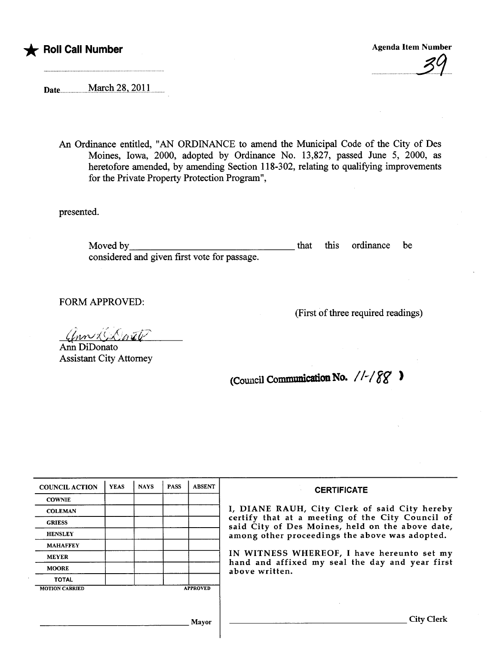

## - Roll Call Number

**Agenda Item Number** 

Date March 28, 2011

An Ordinance entitled, "AN ORDINANCE to amend the Municipal Code of the City of Des Moines, Iowa, 2000, adopted by Ordinance No. 13,827, passed June 5, 2000, as heretofore amended, by amending Section 118-302, relating to qualifying improvements for the Private Property Protection Program",

presented.

Moved by that that the state of the state of the state of the state of the state of the state of the state of the state of the state of the state of the state of the state of the state of the state of the state of the stat this ordinance be considered and given first vote for passage.

FORM APPROVED:

(First of three required readings)

ann C.Dorate

Ann DiDonato **Assistant City Attorney** 

(Council Communication No.  $//$ / $\gamma$ 

| <b>COUNCIL ACTION</b> | <b>YEAS</b> | <b>NAYS</b> | <b>PASS</b> | <b>ABSENT</b>   | <b>CERTIFICATE</b>                                                                                                                                                                                                                                                                                                         |
|-----------------------|-------------|-------------|-------------|-----------------|----------------------------------------------------------------------------------------------------------------------------------------------------------------------------------------------------------------------------------------------------------------------------------------------------------------------------|
| <b>COWNIE</b>         |             |             |             |                 | I, DIANE RAUH, City Clerk of said City hereby<br>certify that at a meeting of the City Council of<br>said City of Des Moines, held on the above date,<br>among other proceedings the above was adopted.<br>IN WITNESS WHEREOF, I have hereunto set my<br>hand and affixed my seal the day and year first<br>above written. |
| <b>COLEMAN</b>        |             |             |             |                 |                                                                                                                                                                                                                                                                                                                            |
| <b>GRIESS</b>         |             |             |             |                 |                                                                                                                                                                                                                                                                                                                            |
| <b>HENSLEY</b>        |             |             |             |                 |                                                                                                                                                                                                                                                                                                                            |
| <b>MAHAFFEY</b>       |             |             |             |                 |                                                                                                                                                                                                                                                                                                                            |
| <b>MEYER</b>          |             |             |             |                 |                                                                                                                                                                                                                                                                                                                            |
| <b>MOORE</b>          |             |             |             |                 |                                                                                                                                                                                                                                                                                                                            |
| <b>TOTAL</b>          |             |             |             |                 |                                                                                                                                                                                                                                                                                                                            |
| <b>MOTION CARRIED</b> |             |             |             | <b>APPROVED</b> |                                                                                                                                                                                                                                                                                                                            |
|                       |             |             |             |                 |                                                                                                                                                                                                                                                                                                                            |
|                       |             |             |             |                 |                                                                                                                                                                                                                                                                                                                            |
|                       |             |             |             | Mayor           | <b>City Clerk</b>                                                                                                                                                                                                                                                                                                          |
|                       |             |             |             |                 |                                                                                                                                                                                                                                                                                                                            |